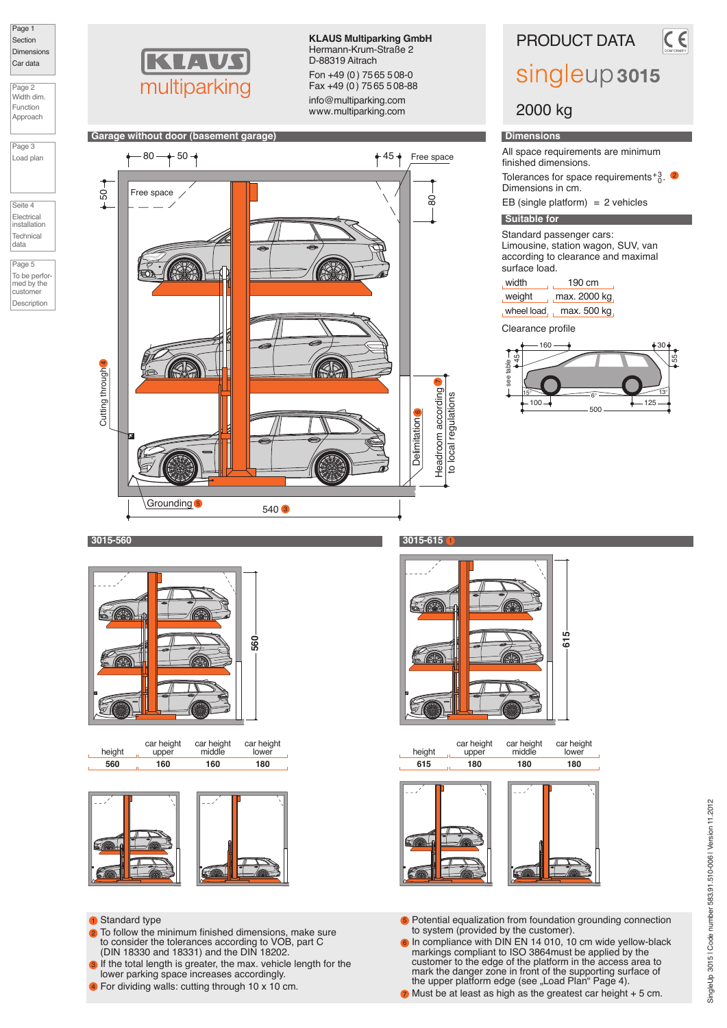

Page 2 Width dim.

Function Approach



Load plan

Seite 4 Electrical installation **Technica** 

data

Page 5 To be performed by the customer Description



**Garage without door (basement garage)**

**KLAUS Multiparking GmbH** Hermann-Krum-Straße 2 D-88319 Aitrach Fon +49 (0) 75 65 508-0 Fax +49 (0) 75 65 508-88

info@multiparking.com www.multiparking.com



PRODUCT DATA

 $\overline{\epsilon}$ 

# singleup 3015

# 2000 kg

### **Dimensions**

All space requirements are minimum finished dimensions.

Tolerances for space requirements $^{+3}_{0}$ . Dimensions in cm.

EB (single platform)  $= 2$  vehicles

# **Suitable for**

Standard passenger cars: Limousine, station wagon, SUV, van according to clearance and maximal surface load.

| , width  | 190 cm                     |
|----------|----------------------------|
| , weight | $\frac{1}{1}$ max. 2000 kg |
|          | wheel load max. 500 kg     |

Clearance profile



# **3015-560 3015-615**



height **560** upper car height **160** middle car height **160** lower car height **180**



#### **1** Standard type

- 2 To follow the minimum finished dimensions, make sure to consider the tolerances according to VOB, part C (DIN 18330 and 18331) and the DIN 18202.
- If the total length is greater, the max. vehicle length for the lower parking space increases accordingly. 3
- For dividing walls: cutting through 10 x 10 cm. 4



**180**







- 5 Potential equalization from foundation grounding connection to system (provided by the customer).
- **6** In compliance with DIN EN 14 010, 10 cm wide yellow-black markings compliant to ISO 3864must be applied by the customer to the edge of the platform in the access area to mark the danger zone in front of the supporting surface of the upper platform edge (see "Load Plan" Page 4).
- **7** Must be at least as high as the greatest car height + 5 cm.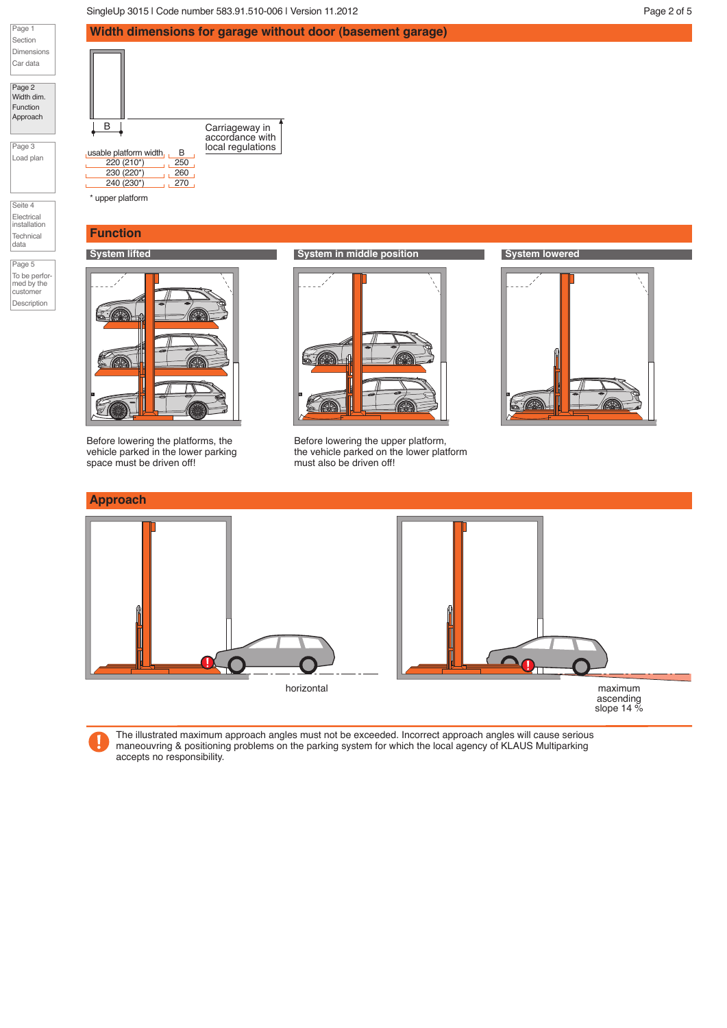SingleUp 3015 | Code number 583.91.510-006 | Version 11.2012 | No. 2012 | Page 2 of 5

B Carriageway in

usable platform width  $\begin{array}{|c|c|c|}\n\hline & \text{local regulations} \\
\hline\n220 (210^*) & 250 \\
\hline\n\end{array}$ 

 $\frac{230 (220^{*})}{230 (230^{*})}$  260  $230 (220^*)$ 220 (210\*)

\* upper platform

**Function**

**Width dimensions for garage without door (basement garage)**

accordance with



Page 2 Width dim. Function Approach

Page 3 Load plan

Seite 4 Electrical installation Technical data

Page 5 To be performed by the customer Description



Before lowering the platforms, the vehicle parked in the lower parking space must be driven off!



Before lowering the upper platform, the vehicle parked on the lower platform must also be driven off!





The illustrated maximum approach angles must not be exceeded. Incorrect approach angles will cause serious maneouvring & positioning problems on the parking system for which the local agency of KLAUS Multiparking accepts no responsibility.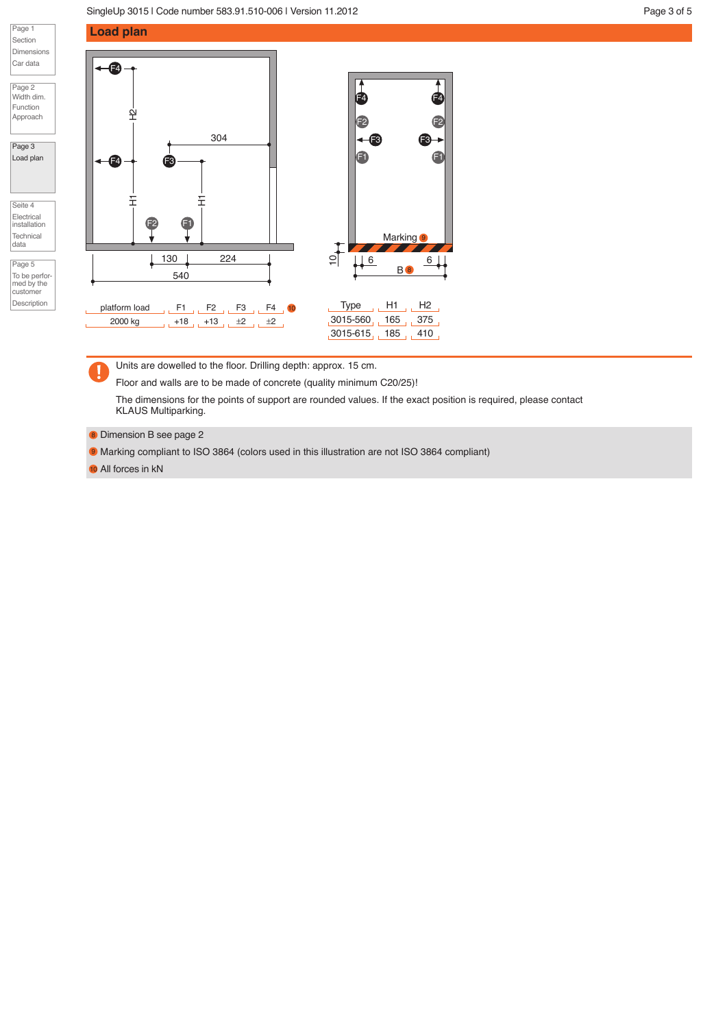

Page 2 Width dim. Function Approach

#### Page 3 Load plan

Seite 4 Electrical installation **Technical** 

data

| Page 5                      |  |
|-----------------------------|--|
| To be perfor-<br>med by the |  |
| customer                    |  |
| Description                 |  |





Units are dowelled to the floor. Drilling depth: approx. 15 cm.

Floor and walls are to be made of concrete (quality minimum C20/25)!

The dimensions for the points of support are rounded values. If the exact position is required, please contact KLAUS Multiparking.

8 Dimension B see page 2

**9** Marking compliant to ISO 3864 (colors used in this illustration are not ISO 3864 compliant)

10 All forces in kN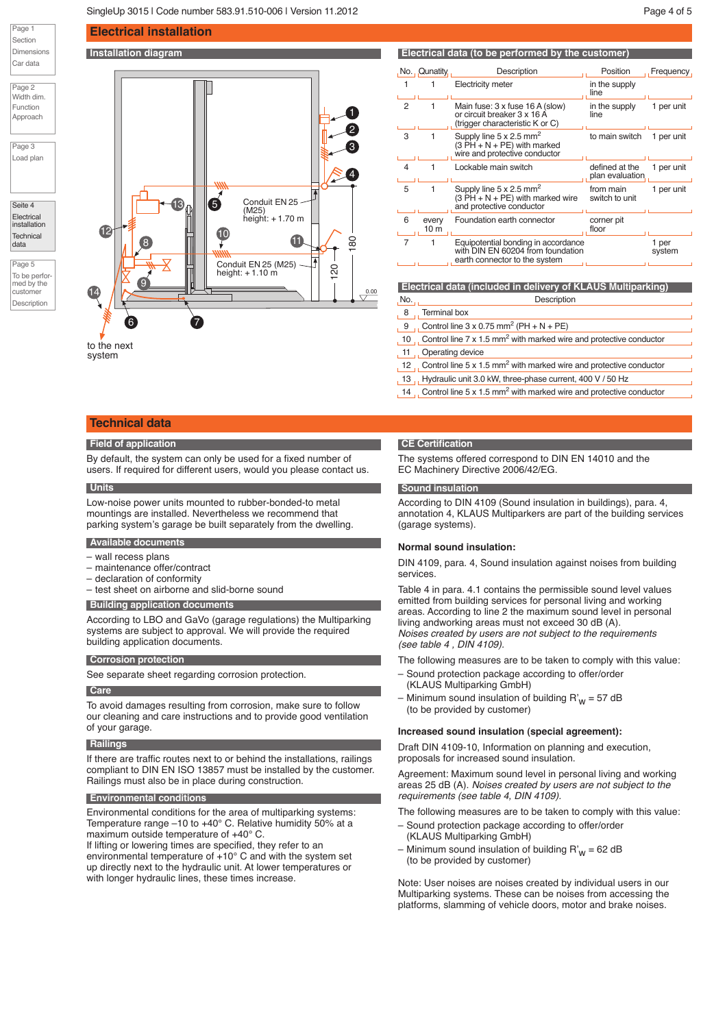Page 1 Section Dimensions Car data

Page 2 Width dim. Function Approach

Page 3 Load plan

Seite 4 **Electrical** installation **Technica** data Page 5 To be performed by the customer Description





to the next system

## **Technical data**

#### **Field of application**

By default, the system can only be used for a fixed number of users. If required for different users, would you please contact us.

#### **Units**

Low-noise power units mounted to rubber-bonded-to metal mountings are installed. Nevertheless we recommend that parking system's garage be built separately from the dwelling.

#### **Available documents**

- wall recess plans
- maintenance offer/contract
- declaration of conformity
- test sheet on airborne and slid-borne sound

#### **Building application documents**

According to LBO and GaVo (garage regulations) the Multiparking systems are subject to approval. We will provide the required building application documents.

#### **Corrosion protection**

See separate sheet regarding corrosion protection.

#### **Care**

To avoid damages resulting from corrosion, make sure to follow our cleaning and care instructions and to provide good ventilation of your garage.

#### **Railings**

If there are traffic routes next to or behind the installations, railings compliant to DIN EN ISO 13857 must be installed by the customer. Railings must also be in place during construction.

#### **Environmental conditions**

Environmental conditions for the area of multiparking systems: Temperature range –10 to +40° C. Relative humidity 50% at a maximum outside temperature of +40° C.

If lifting or lowering times are specified, they refer to an environmental temperature of +10° C and with the system set up directly next to the hydraulic unit. At lower temperatures or with longer hydraulic lines, these times increase.

#### **CE Certification**

6 every 10 m

L.

Ĺ.

1

8 Terminal box

11 Operating device

The systems offered correspond to DIN EN 14010 and the EC Machinery Directive 2006/42/EG.

Supply line 5 x 2.5 mm<sup>2</sup><br>(3 PH + N + PE) with marked<br>wire and protective conductor

 $(3 PH + N + PE)$  with marked wire and protective conductor

earth connector to the system

No. No. 2008 and 2009 and 2009 and 2009 and 2009 and 2009 and 2009 and 2009 and 2009 and 2009 and 2009 and 200

9 Control line  $3 \times 0.75$  mm<sup>2</sup> (PH + N + PE)

or circuit breaker 3 x 16 A (trigger characteristic K or C)

1 1 Electricity meter

No. Qunatity Description **Position** Position Frequency

in the supply line

in the supply line

plan evaluation

1 per<br>system

from main switch to unit

floor

3 1 Supply line 5 x 2.5 mm<sup>2</sup> to main switch 1 per unit

4 1 Lockable main switch betined at the 1 per unit

5 1 Supply line  $5 \times 2.5$  mm<sup>2</sup> from main 1 per unit

Foundation earth connector corner pit

7 1 Equipotential bonding in accordance **1** per<br>with DIN EN 60204 from foundation **1** syste

**Electrical data (included in delivery of KLAUS Multiparking)**

10 Control line 7 x 1.5 mm<sup>2</sup> with marked wire and protective conductor

12  $\mu$  Control line 5 x 1.5 mm<sup>2</sup> with marked wire and protective conductor 13 Hydraulic unit 3.0 kW, three-phase current, 400 V / 50 Hz 14 Gontrol line 5 x 1.5 mm<sup>2</sup> with marked wire and protective conductor

2 1 Main fuse:  $3 \times$  fuse 16 A (slow) in the supply 1 per unit

#### **Sound insulation**

According to DIN 4109 (Sound insulation in buildings), para. 4, annotation 4, KLAUS Multiparkers are part of the building services (garage systems).

#### **Normal sound insulation:**

DIN 4109, para. 4, Sound insulation against noises from building services.

Table 4 in para. 4.1 contains the permissible sound level values emitted from building services for personal living and working areas. According to line 2 the maximum sound level in personal living andworking areas must not exceed 30 dB (A). Noises created by users are not subject to the requirements (see table 4 , DIN 4109).

The following measures are to be taken to comply with this value:

- Sound protection package according to offer/order (KLAUS Multiparking GmbH)
- Minimum sound insulation of building  $R'_{W}$  = 57 dB (to be provided by customer)

#### **Increased sound insulation (special agreement):**

Draft DIN 4109-10, Information on planning and execution, proposals for increased sound insulation.

Agreement: Maximum sound level in personal living and working areas 25 dB (A). Noises created by users are not subject to the requirements (see table 4, DIN 4109).

The following measures are to be taken to comply with this value:

- Sound protection package according to offer/order (KLAUS Multiparking GmbH)
- Minimum sound insulation of building  $R'_{W}$  = 62 dB (to be provided by customer)

Note: User noises are noises created by individual users in our Multiparking systems. These can be noises from accessing the platforms, slamming of vehicle doors, motor and brake noises.